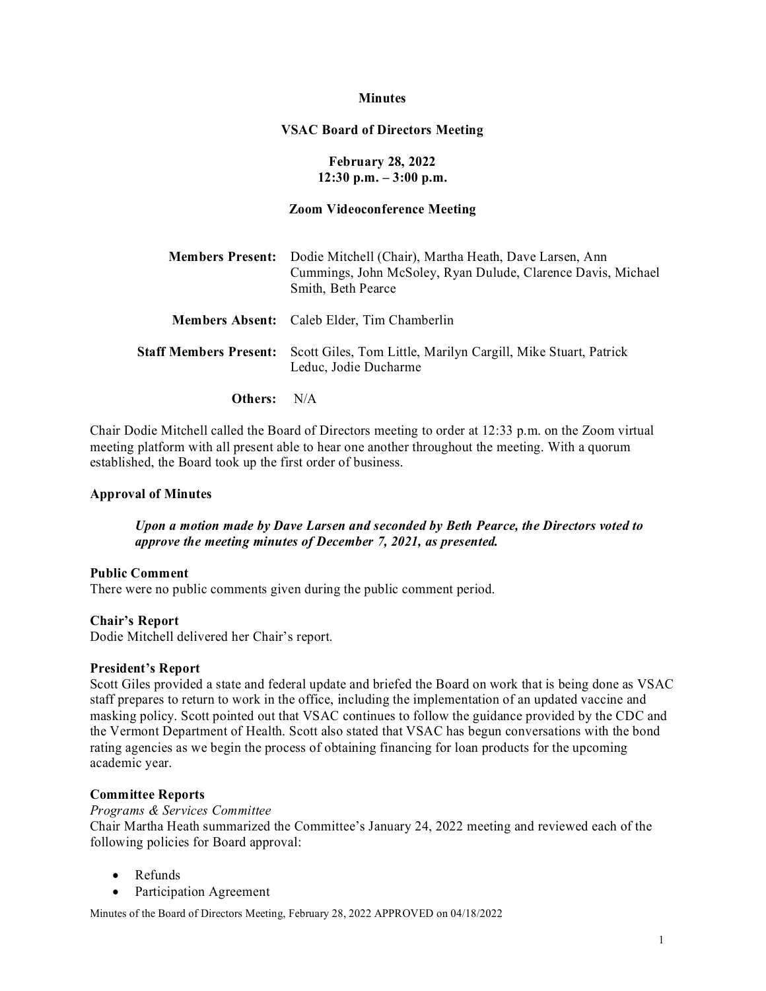### **Minutes**

## **VSAC Board of Directors Meeting**

## **February 28, 2022 12:30 p.m. – 3:00 p.m.**

### **Zoom Videoconference Meeting**

| Members Present: Dodie Mitchell (Chair), Martha Heath, Dave Larsen, Ann<br>Cummings, John McSoley, Ryan Dulude, Clarence Davis, Michael<br>Smith, Beth Pearce |
|---------------------------------------------------------------------------------------------------------------------------------------------------------------|
| Members Absent: Caleb Elder, Tim Chamberlin                                                                                                                   |
| <b>Staff Members Present:</b> Scott Giles, Tom Little, Marilyn Cargill, Mike Stuart, Patrick<br>Leduc, Jodie Ducharme                                         |

**Others:** N/A

Chair Dodie Mitchell called the Board of Directors meeting to order at 12:33 p.m. on the Zoom virtual meeting platform with all present able to hear one another throughout the meeting. With a quorum established, the Board took up the first order of business.

#### **Approval of Minutes**

### *Upon a motion made by Dave Larsen and seconded by Beth Pearce, the Directors voted to approve the meeting minutes of December 7, 2021, as presented.*

#### **Public Comment**

There were no public comments given during the public comment period.

#### **Chair's Report**

Dodie Mitchell delivered her Chair's report.

### **President's Report**

Scott Giles provided a state and federal update and briefed the Board on work that is being done as VSAC staff prepares to return to work in the office, including the implementation of an updated vaccine and masking policy. Scott pointed out that VSAC continues to follow the guidance provided by the CDC and the Vermont Department of Health. Scott also stated that VSAC has begun conversations with the bond rating agencies as we begin the process of obtaining financing for loan products for the upcoming academic year.

#### **Committee Reports**

#### *Programs & Services Committee*

Chair Martha Heath summarized the Committee's January 24, 2022 meeting and reviewed each of the following policies for Board approval:

- Refunds
- Participation Agreement

Minutes of the Board of Directors Meeting, February 28, 2022 APPROVED on 04/18/2022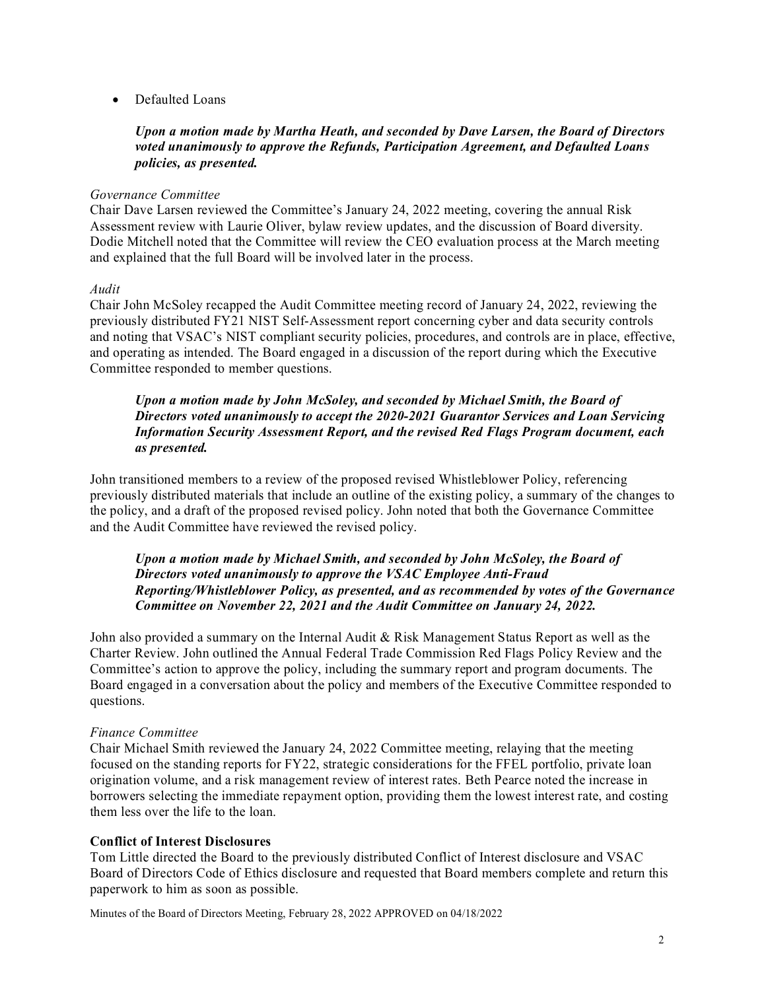• Defaulted Loans

# *Upon a motion made by Martha Heath, and seconded by Dave Larsen, the Board of Directors voted unanimously to approve the Refunds, Participation Agreement, and Defaulted Loans policies, as presented.*

## *Governance Committee*

Chair Dave Larsen reviewed the Committee's January 24, 2022 meeting, covering the annual Risk Assessment review with Laurie Oliver, bylaw review updates, and the discussion of Board diversity. Dodie Mitchell noted that the Committee will review the CEO evaluation process at the March meeting and explained that the full Board will be involved later in the process.

## *Audit*

Chair John McSoley recapped the Audit Committee meeting record of January 24, 2022, reviewing the previously distributed FY21 NIST Self-Assessment report concerning cyber and data security controls and noting that VSAC's NIST compliant security policies, procedures, and controls are in place, effective, and operating as intended. The Board engaged in a discussion of the report during which the Executive Committee responded to member questions.

# *Upon a motion made by John McSoley, and seconded by Michael Smith, the Board of Directors voted unanimously to accept the 2020-2021 Guarantor Services and Loan Servicing Information Security Assessment Report, and the revised Red Flags Program document, each as presented.*

John transitioned members to a review of the proposed revised Whistleblower Policy, referencing previously distributed materials that include an outline of the existing policy, a summary of the changes to the policy, and a draft of the proposed revised policy. John noted that both the Governance Committee and the Audit Committee have reviewed the revised policy.

## *Upon a motion made by Michael Smith, and seconded by John McSoley, the Board of Directors voted unanimously to approve the VSAC Employee Anti-Fraud Reporting/Whistleblower Policy, as presented, and as recommended by votes of the Governance Committee on November 22, 2021 and the Audit Committee on January 24, 2022.*

John also provided a summary on the Internal Audit & Risk Management Status Report as well as the Charter Review. John outlined the Annual Federal Trade Commission Red Flags Policy Review and the Committee's action to approve the policy, including the summary report and program documents. The Board engaged in a conversation about the policy and members of the Executive Committee responded to questions.

#### *Finance Committee*

Chair Michael Smith reviewed the January 24, 2022 Committee meeting, relaying that the meeting focused on the standing reports for FY22, strategic considerations for the FFEL portfolio, private loan origination volume, and a risk management review of interest rates. Beth Pearce noted the increase in borrowers selecting the immediate repayment option, providing them the lowest interest rate, and costing them less over the life to the loan.

## **Conflict of Interest Disclosures**

Tom Little directed the Board to the previously distributed Conflict of Interest disclosure and VSAC Board of Directors Code of Ethics disclosure and requested that Board members complete and return this paperwork to him as soon as possible.

Minutes of the Board of Directors Meeting, February 28, 2022 APPROVED on 04/18/2022